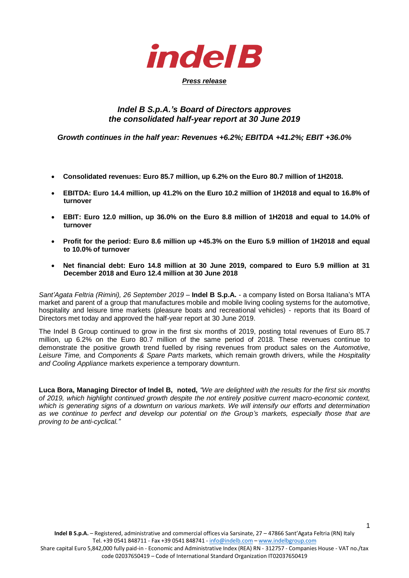*indel B* 

# *Press release*

## *Indel B S.p.A.'s Board of Directors approves the consolidated half-year report at 30 June 2019*

*Growth continues in the half year: Revenues +6.2%; EBITDA +41.2%; EBIT +36.0%*

- **Consolidated revenues: Euro 85.7 million, up 6.2% on the Euro 80.7 million of 1H2018.**
- **EBITDA: Euro 14.4 million, up 41.2% on the Euro 10.2 million of 1H2018 and equal to 16.8% of turnover**
- **EBIT: Euro 12.0 million, up 36.0% on the Euro 8.8 million of 1H2018 and equal to 14.0% of turnover**
- **Profit for the period: Euro 8.6 million up +45.3% on the Euro 5.9 million of 1H2018 and equal to 10.0% of turnover**
- **Net financial debt: Euro 14.8 million at 30 June 2019, compared to Euro 5.9 million at 31 December 2018 and Euro 12.4 million at 30 June 2018**

Sant'Agata Feltria (Rimini), 26 September 2019 – **Indel B S.p.A.** - a company listed on Borsa Italiana's MTA market and parent of a group that manufactures mobile and mobile living cooling systems for the automotive, hospitality and leisure time markets (pleasure boats and recreational vehicles) - reports that its Board of Directors met today and approved the half-year report at 30 June 2019.

The Indel B Group continued to grow in the first six months of 2019, posting total revenues of Euro 85.7 million, up 6.2% on the Euro 80.7 million of the same period of 2018. These revenues continue to demonstrate the positive growth trend fuelled by rising revenues from product sales on the *Automotive*, *Leisure Time,* and *Components & Spare Parts* markets, which remain growth drivers, while the *Hospitality and Cooling Appliance* markets experience a temporary downturn.

**Luca Bora, Managing Director of Indel B, noted,** *"We are delighted with the results for the first six months of 2019, which highlight continued growth despite the not entirely positive current macro-economic context, which is generating signs of a downturn on various markets. We will intensify our efforts and determination as we continue to perfect and develop our potential on the Group's markets, especially those that are proving to be anti-cyclical."* 

1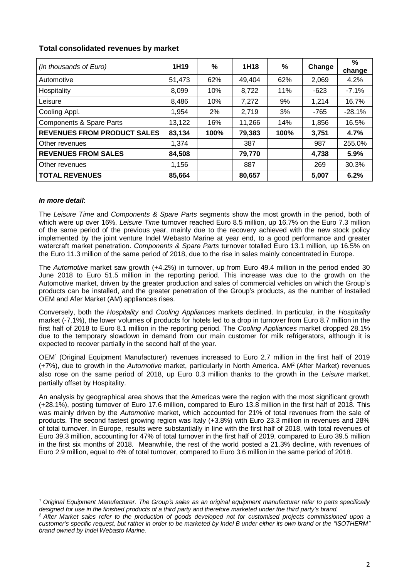| Total consolidated revenues by market |
|---------------------------------------|
|---------------------------------------|

| (in thousands of Euro)             | 1H <sub>19</sub> | %    | 1H <sub>18</sub> | $\%$ | Change | $\%$<br>change |
|------------------------------------|------------------|------|------------------|------|--------|----------------|
| Automotive                         | 51,473           | 62%  | 49,404           | 62%  | 2,069  | 4.2%           |
| Hospitality                        | 8,099            | 10%  | 8,722            | 11%  | $-623$ | $-7.1%$        |
| Leisure                            | 8,486            | 10%  | 7,272            | 9%   | 1,214  | 16.7%          |
| Cooling Appl.                      | 1,954            | 2%   | 2,719            | 3%   | -765   | $-28.1%$       |
| Components & Spare Parts           | 13,122           | 16%  | 11,266           | 14%  | 1,856  | 16.5%          |
| <b>REVENUES FROM PRODUCT SALES</b> | 83,134           | 100% | 79,383           | 100% | 3,751  | 4.7%           |
| Other revenues                     | 1,374            |      | 387              |      | 987    | 255.0%         |
| <b>REVENUES FROM SALES</b>         | 84,508           |      | 79,770           |      | 4,738  | 5.9%           |
| Other revenues                     | 1,156            |      | 887              |      | 269    | 30.3%          |
| <b>TOTAL REVENUES</b>              | 85,664           |      | 80,657           |      | 5,007  | 6.2%           |

### *In more detail*:

1

The *Leisure Time* and *Components & Spare Parts* segments show the most growth in the period, both of which were up over 16%. *Leisure Time* turnover reached Euro 8.5 million, up 16.7% on the Euro 7.3 million of the same period of the previous year, mainly due to the recovery achieved with the new stock policy implemented by the joint venture Indel Webasto Marine at year end, to a good performance and greater watercraft market penetration. *Components & Spare Parts* turnover totalled Euro 13.1 million, up 16.5% on the Euro 11.3 million of the same period of 2018, due to the rise in sales mainly concentrated in Europe.

The *Automotive* market saw growth (+4.2%) in turnover, up from Euro 49.4 million in the period ended 30 June 2018 to Euro 51.5 million in the reporting period. This increase was due to the growth on the Automotive market, driven by the greater production and sales of commercial vehicles on which the Group's products can be installed, and the greater penetration of the Group's products, as the number of installed OEM and Afer Market (AM) appliances rises.

Conversely, both the *Hospitality* and *Cooling Appliances* markets declined. In particular, in the *Hospitality* market (-7.1%), the lower volumes of products for hotels led to a drop in turnover from Euro 8.7 million in the first half of 2018 to Euro 8.1 million in the reporting period. The *Cooling Appliances* market dropped 28.1% due to the temporary slowdown in demand from our main customer for milk refrigerators, although it is expected to recover partially in the second half of the year.

OEM<sup>1</sup> (Original Equipment Manufacturer) revenues increased to Euro 2.7 million in the first half of 2019 (+7%), due to growth in the *Automotive* market, particularly in North America. AM<sup>2</sup> (After Market) revenues also rose on the same period of 2018, up Euro 0.3 million thanks to the growth in the *Leisure* market, partially offset by Hospitality.

An analysis by geographical area shows that the Americas were the region with the most significant growth (+28.1%), posting turnover of Euro 17.6 million, compared to Euro 13.8 million in the first half of 2018. This was mainly driven by the *Automotive* market, which accounted for 21% of total revenues from the sale of products. The second fastest growing region was Italy (+3.8%) with Euro 23.3 million in revenues and 28% of total turnover. In Europe, results were substantially in line with the first half of 2018, with total revenues of Euro 39.3 million, accounting for 47% of total turnover in the first half of 2019, compared to Euro 39.5 million in the first six months of 2018. Meanwhile, the rest of the world posted a 21.3% decline, with revenues of Euro 2.9 million, equal to 4% of total turnover, compared to Euro 3.6 million in the same period of 2018.

*<sup>1</sup> Original Equipment Manufacturer. The Group's sales as an original equipment manufacturer refer to parts specifically*  designed for use in the finished products of a third party and therefore marketed under the third party's brand.

*<sup>2</sup> After Market sales refer to the production of goods developed not for customised projects commissioned upon a customer's specific request, but rather in order to be marketed by Indel B under either its own brand or the "ISOTHERM" brand owned by Indel Webasto Marine.*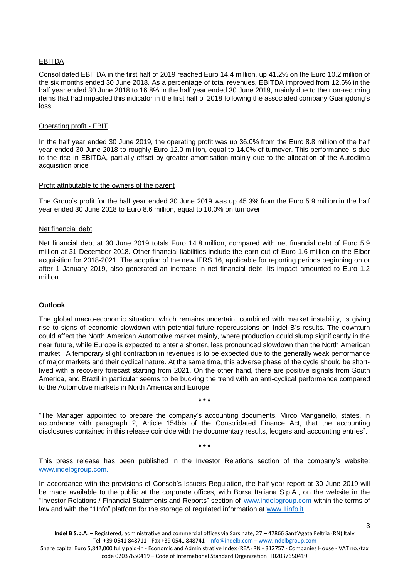#### EBITDA

Consolidated EBITDA in the first half of 2019 reached Euro 14.4 million, up 41.2% on the Euro 10.2 million of the six months ended 30 June 2018. As a percentage of total revenues, EBITDA improved from 12.6% in the half year ended 30 June 2018 to 16.8% in the half year ended 30 June 2019, mainly due to the non-recurring items that had impacted this indicator in the first half of 2018 following the associated company Guangdong's loss.

#### Operating profit - EBIT

In the half year ended 30 June 2019, the operating profit was up 36.0% from the Euro 8.8 million of the half year ended 30 June 2018 to roughly Euro 12.0 million, equal to 14.0% of turnover. This performance is due to the rise in EBITDA, partially offset by greater amortisation mainly due to the allocation of the Autoclima acquisition price.

#### Profit attributable to the owners of the parent

The Group's profit for the half year ended 30 June 2019 was up 45.3% from the Euro 5.9 million in the half year ended 30 June 2018 to Euro 8.6 million, equal to 10.0% on turnover.

#### Net financial debt

Net financial debt at 30 June 2019 totals Euro 14.8 million, compared with net financial debt of Euro 5.9 million at 31 December 2018. Other financial liabilities include the earn-out of Euro 1.6 million on the Elber acquisition for 2018-2021. The adoption of the new IFRS 16, applicable for reporting periods beginning on or after 1 January 2019, also generated an increase in net financial debt. Its impact amounted to Euro 1.2 million.

#### **Outlook**

The global macro-economic situation, which remains uncertain, combined with market instability, is giving rise to signs of economic slowdown with potential future repercussions on Indel B's results. The downturn could affect the North American Automotive market mainly, where production could slump significantly in the near future, while Europe is expected to enter a shorter, less pronounced slowdown than the North American market. A temporary slight contraction in revenues is to be expected due to the generally weak performance of major markets and their cyclical nature. At the same time, this adverse phase of the cycle should be shortlived with a recovery forecast starting from 2021. On the other hand, there are positive signals from South America, and Brazil in particular seems to be bucking the trend with an anti-cyclical performance compared to the Automotive markets in North America and Europe.

"The Manager appointed to prepare the company's accounting documents, Mirco Manganello, states, in accordance with paragraph 2, Article 154bis of the Consolidated Finance Act, that the accounting disclosures contained in this release coincide with the documentary results, ledgers and accounting entries".

**\* \* \***

**\* \* \***

This press release has been published in the Investor Relations section of the company's website: [www.indelbgroup.com.](http://www.indelbgroup.com/)

In accordance with the provisions of Consob's Issuers Regulation, the half-year report at 30 June 2019 will be made available to the public at the corporate offices, with Borsa Italiana S.p.A., on the website in the "Investor Relations / Financial Statements and Reports" section of [www.indelbgroup.com](http://www.indelbgroup.com/) within the terms of law and with the "1Info" platform for the storage of regulated information at [www.1info.it.](http://www.1info.it/)

Share capital Euro 5,842,000 fully paid-in - Economic and Administrative Index (REA) RN - 312757 - Companies House - VAT no./tax code 02037650419 – Code of International Standard Organization IT02037650419

3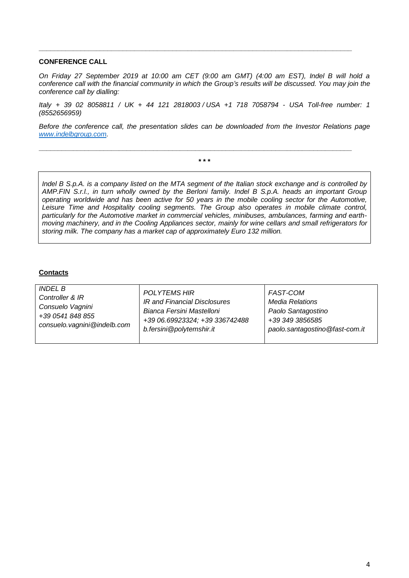#### **CONFERENCE CALL**

*On Friday 27 September 2019 at 10:00 am CET (9:00 am GMT) (4:00 am EST), Indel B will hold a conference call with the financial community in which the Group's results will be discussed. You may join the conference call by dialling:*

**\_\_\_\_\_\_\_\_\_\_\_\_\_\_\_\_\_\_\_\_\_\_\_\_\_\_\_\_\_\_\_\_\_\_\_\_\_\_\_\_\_\_\_\_\_\_\_\_\_\_\_\_\_\_\_\_\_\_\_\_\_\_\_\_\_\_\_\_\_\_\_\_\_\_\_\_\_\_\_\_\_\_**

*Italy + 39 02 8058811 / UK + 44 121 2818003 / USA +1 718 7058794 - USA Toll-free number: 1 (8552656959)* 

*Before the conference call, the presentation slides can be downloaded from the Investor Relations page [www.indelbgroup.com.](http://www.indelbgroup.com/)* 

**\* \* \***

**\_\_\_\_\_\_\_\_\_\_\_\_\_\_\_\_\_\_\_\_\_\_\_\_\_\_\_\_\_\_\_\_\_\_\_\_\_\_\_\_\_\_\_\_\_\_\_\_\_\_\_\_\_\_\_\_\_\_\_\_\_\_\_\_\_\_\_\_\_\_\_\_\_\_\_\_\_\_\_\_\_\_**

*Indel B S.p.A. is a company listed on the MTA segment of the Italian stock exchange and is controlled by AMP.FIN S.r.l., in turn wholly owned by the Berloni family. Indel B S.p.A. heads an important Group operating worldwide and has been active for 50 years in the mobile cooling sector for the Automotive, Leisure Time and Hospitality cooling segments. The Group also operates in mobile climate control, particularly for the Automotive market in commercial vehicles, minibuses, ambulances, farming and earthmoving machinery, and in the Cooling Appliances sector, mainly for wine cellars and small refrigerators for storing milk. The company has a market cap of approximately Euro 132 million.*

#### **Contacts**

| <i>INDEL B</i>              | <b>POLYTEMS HIR</b>            | FAST-COM                       |
|-----------------------------|--------------------------------|--------------------------------|
| Controller & IR             | IR and Financial Disclosures   | <b>Media Relations</b>         |
| Consuelo Vagnini            | Bianca Fersini Mastelloni      | Paolo Santagostino             |
| +39 0541 848 855            | +39 06.69923324; +39 336742488 | +39 349 3856585                |
| consuelo.vagnini@indelb.com | b.fersini@polytemshir.it       | paolo.santagostino@fast-com.it |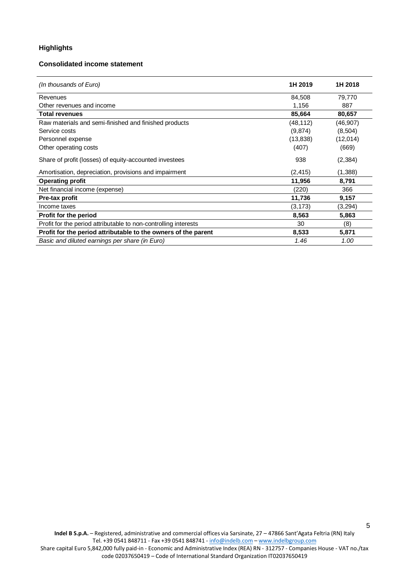## **Highlights**

#### **Consolidated income statement**

| (In thousands of Euro)                                          | 1H 2019   | 1H 2018  |
|-----------------------------------------------------------------|-----------|----------|
| Revenues                                                        | 84,508    | 79,770   |
| Other revenues and income                                       | 1,156     | 887      |
| <b>Total revenues</b>                                           | 85,664    | 80,657   |
| Raw materials and semi-finished and finished products           | (48,112)  | (46,907) |
| Service costs                                                   | (9,874)   | (8,504)  |
| Personnel expense                                               | (13, 838) | (12,014) |
| Other operating costs                                           | (407)     | (669)    |
| Share of profit (losses) of equity-accounted investees          | 938       | (2, 384) |
| Amortisation, depreciation, provisions and impairment           | (2, 415)  | (1,388)  |
| <b>Operating profit</b>                                         | 11,956    | 8,791    |
| Net financial income (expense)                                  | (220)     | 366      |
| Pre-tax profit                                                  | 11,736    | 9,157    |
| Income taxes                                                    | (3, 173)  | (3,294)  |
| <b>Profit for the period</b>                                    | 8,563     | 5,863    |
| Profit for the period attributable to non-controlling interests | 30        | (8)      |
| Profit for the period attributable to the owners of the parent  | 8,533     | 5,871    |
| Basic and diluted earnings per share (in Euro)                  | 1.46      | 1.00     |

5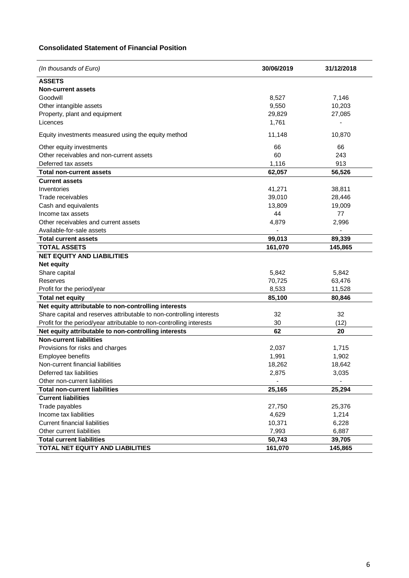## **Consolidated Statement of Financial Position**

| (In thousands of Euro)                                               | 30/06/2019 | 31/12/2018 |
|----------------------------------------------------------------------|------------|------------|
| <b>ASSETS</b>                                                        |            |            |
| <b>Non-current assets</b>                                            |            |            |
| Goodwill                                                             | 8,527      | 7,146      |
| Other intangible assets                                              | 9,550      | 10,203     |
| Property, plant and equipment                                        | 29,829     | 27,085     |
| Licences                                                             | 1,761      |            |
| Equity investments measured using the equity method                  | 11,148     | 10,870     |
| Other equity investments                                             | 66         | 66         |
| Other receivables and non-current assets                             | 60         | 243        |
| Deferred tax assets                                                  | 1,116      | 913        |
| <b>Total non-current assets</b>                                      | 62,057     | 56,526     |
| <b>Current assets</b>                                                |            |            |
| Inventories                                                          | 41,271     | 38,811     |
| Trade receivables                                                    | 39,010     | 28,446     |
| Cash and equivalents                                                 | 13,809     | 19,009     |
| Income tax assets                                                    | 44         | 77         |
| Other receivables and current assets                                 | 4,879      | 2,996      |
| Available-for-sale assets                                            |            |            |
| <b>Total current assets</b>                                          | 99,013     | 89,339     |
| <b>TOTAL ASSETS</b>                                                  | 161,070    | 145,865    |
| <b>NET EQUITY AND LIABILITIES</b>                                    |            |            |
| <b>Net equity</b>                                                    |            |            |
| Share capital                                                        | 5,842      | 5,842      |
| Reserves                                                             | 70,725     | 63,476     |
| Profit for the period/year                                           | 8,533      | 11,528     |
| <b>Total net equity</b>                                              | 85,100     | 80,846     |
| Net equity attributable to non-controlling interests                 |            |            |
| Share capital and reserves attributable to non-controlling interests | 32         | 32         |
| Profit for the period/year attributable to non-controlling interests | 30         | (12)       |
| Net equity attributable to non-controlling interests                 | 62         | 20         |
| <b>Non-current liabilities</b>                                       |            |            |
| Provisions for risks and charges                                     | 2,037      | 1,715      |
| Employee benefits                                                    | 1,991      | 1,902      |
| Non-current financial liabilities                                    | 18,262     | 18,642     |
| Deferred tax liabilities                                             | 2,875      | 3,035      |
| Other non-current liabilities                                        |            |            |
| <b>Total non-current liabilities</b>                                 | 25,165     | 25,294     |
| <b>Current liabilities</b>                                           |            |            |
| Trade payables                                                       | 27,750     | 25,376     |
| Income tax liabilities                                               | 4,629      | 1,214      |
| <b>Current financial liabilities</b>                                 | 10,371     | 6,228      |
| Other current liabilities                                            | 7,993      | 6,887      |
| <b>Total current liabilities</b>                                     | 50,743     | 39,705     |
| TOTAL NET EQUITY AND LIABILITIES                                     | 161,070    | 145,865    |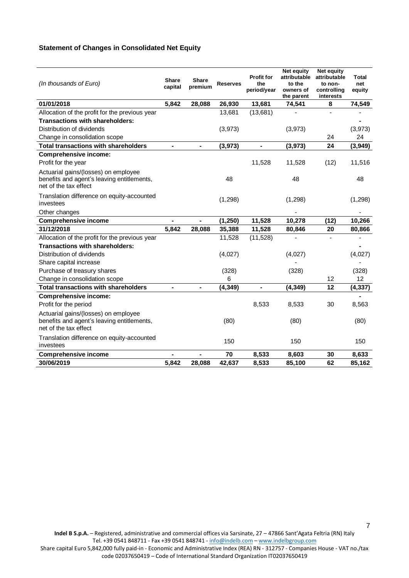### **Statement of Changes in Consolidated Net Equity**

| (In thousands of Euro)                                                                                      | <b>Share</b><br>capital | Share<br>premium         | <b>Reserves</b> | <b>Profit for</b><br>the<br>period/year | Net equity<br>attributable<br>to the<br>owners of<br>the parent | <b>Net equity</b><br>attributable<br>to non-<br>controlling<br>interests | Total<br>net<br>equity |
|-------------------------------------------------------------------------------------------------------------|-------------------------|--------------------------|-----------------|-----------------------------------------|-----------------------------------------------------------------|--------------------------------------------------------------------------|------------------------|
| 01/01/2018                                                                                                  | 5,842                   | 28,088                   | 26,930          | 13,681                                  | 74,541                                                          | 8                                                                        | 74,549                 |
| Allocation of the profit for the previous year                                                              |                         |                          | 13,681          | (13,681)                                |                                                                 |                                                                          |                        |
| Transactions with shareholders:                                                                             |                         |                          |                 |                                         |                                                                 |                                                                          |                        |
| Distribution of dividends                                                                                   |                         |                          | (3,973)         |                                         | (3,973)                                                         |                                                                          | (3,973)                |
| Change in consolidation scope                                                                               |                         |                          |                 |                                         |                                                                 | 24                                                                       | 24                     |
| <b>Total transactions with shareholders</b>                                                                 | ÷,                      | $\overline{\phantom{a}}$ | (3,973)         | $\overline{\phantom{0}}$                | (3,973)                                                         | 24                                                                       | (3,949)                |
| <b>Comprehensive income:</b>                                                                                |                         |                          |                 |                                         |                                                                 |                                                                          |                        |
| Profit for the year                                                                                         |                         |                          |                 | 11,528                                  | 11,528                                                          | (12)                                                                     | 11,516                 |
| Actuarial gains/(losses) on employee<br>benefits and agent's leaving entitlements,<br>net of the tax effect |                         |                          | 48              |                                         | 48                                                              |                                                                          | 48                     |
| Translation difference on equity-accounted<br>investees                                                     |                         |                          | (1, 298)        |                                         | (1, 298)                                                        |                                                                          | (1,298)                |
| Other changes                                                                                               |                         |                          |                 |                                         |                                                                 |                                                                          |                        |
| <b>Comprehensive income</b>                                                                                 |                         |                          | (1, 250)        | 11,528                                  | 10,278                                                          | (12)                                                                     | 10,266                 |
| 31/12/2018                                                                                                  | 5,842                   | 28,088                   | 35,388          | 11,528                                  | 80,846                                                          | 20                                                                       | 80,866                 |
| Allocation of the profit for the previous year                                                              |                         |                          | 11,528          | (11,528)                                |                                                                 |                                                                          |                        |
| <b>Transactions with shareholders:</b>                                                                      |                         |                          |                 |                                         |                                                                 |                                                                          |                        |
| Distribution of dividends                                                                                   |                         |                          | (4,027)         |                                         | (4,027)                                                         |                                                                          | (4,027)                |
| Share capital increase                                                                                      |                         |                          |                 |                                         |                                                                 |                                                                          |                        |
| Purchase of treasury shares                                                                                 |                         |                          | (328)           |                                         | (328)                                                           |                                                                          | (328)                  |
| Change in consolidation scope                                                                               |                         |                          | 6               |                                         |                                                                 | 12                                                                       | 12                     |
| <b>Total transactions with shareholders</b>                                                                 |                         |                          | (4, 349)        |                                         | (4, 349)                                                        | 12                                                                       | (4, 337)               |
| <b>Comprehensive income:</b>                                                                                |                         |                          |                 |                                         |                                                                 |                                                                          |                        |
| Profit for the period                                                                                       |                         |                          |                 | 8,533                                   | 8,533                                                           | 30                                                                       | 8,563                  |
| Actuarial gains/(losses) on employee<br>benefits and agent's leaving entitlements,<br>net of the tax effect |                         |                          | (80)            |                                         | (80)                                                            |                                                                          | (80)                   |
| Translation difference on equity-accounted<br>investees                                                     |                         |                          | 150             |                                         | 150                                                             |                                                                          | 150                    |
| <b>Comprehensive income</b>                                                                                 |                         |                          | 70              | 8,533                                   | 8,603                                                           | 30                                                                       | 8,633                  |
| 30/06/2019                                                                                                  | 5,842                   | 28,088                   | 42,637          | 8,533                                   | 85,100                                                          | 62                                                                       | 85,162                 |

code 02037650419 – Code of International Standard Organization IT02037650419

<sup>7</sup>